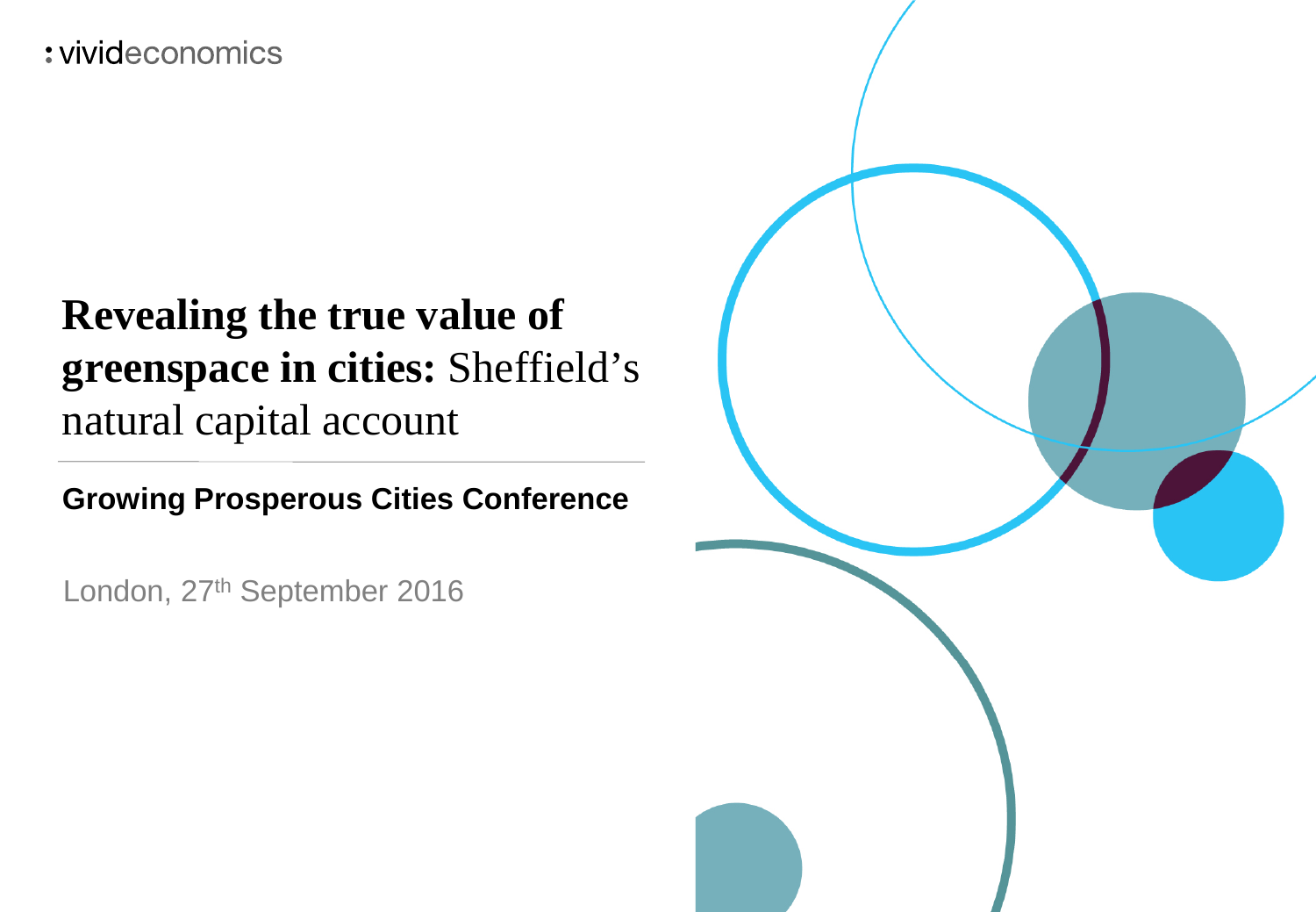: vivideconomics

## **Revealing the true value of greenspace in cities:** Sheffield's natural capital account

**Growing Prosperous Cities Conference**

London, 27<sup>th</sup> September 2016

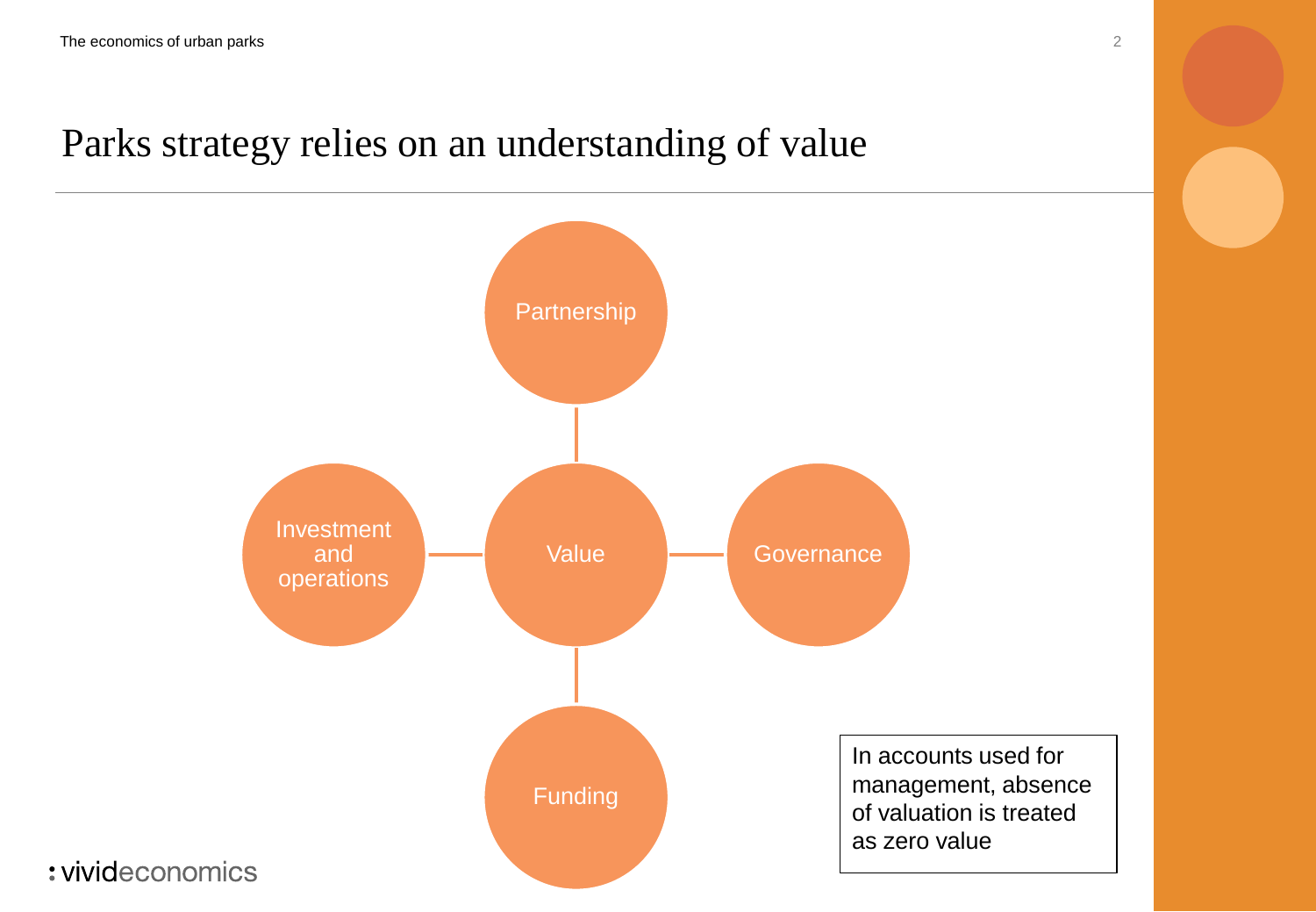### Parks strategy relies on an understanding of value

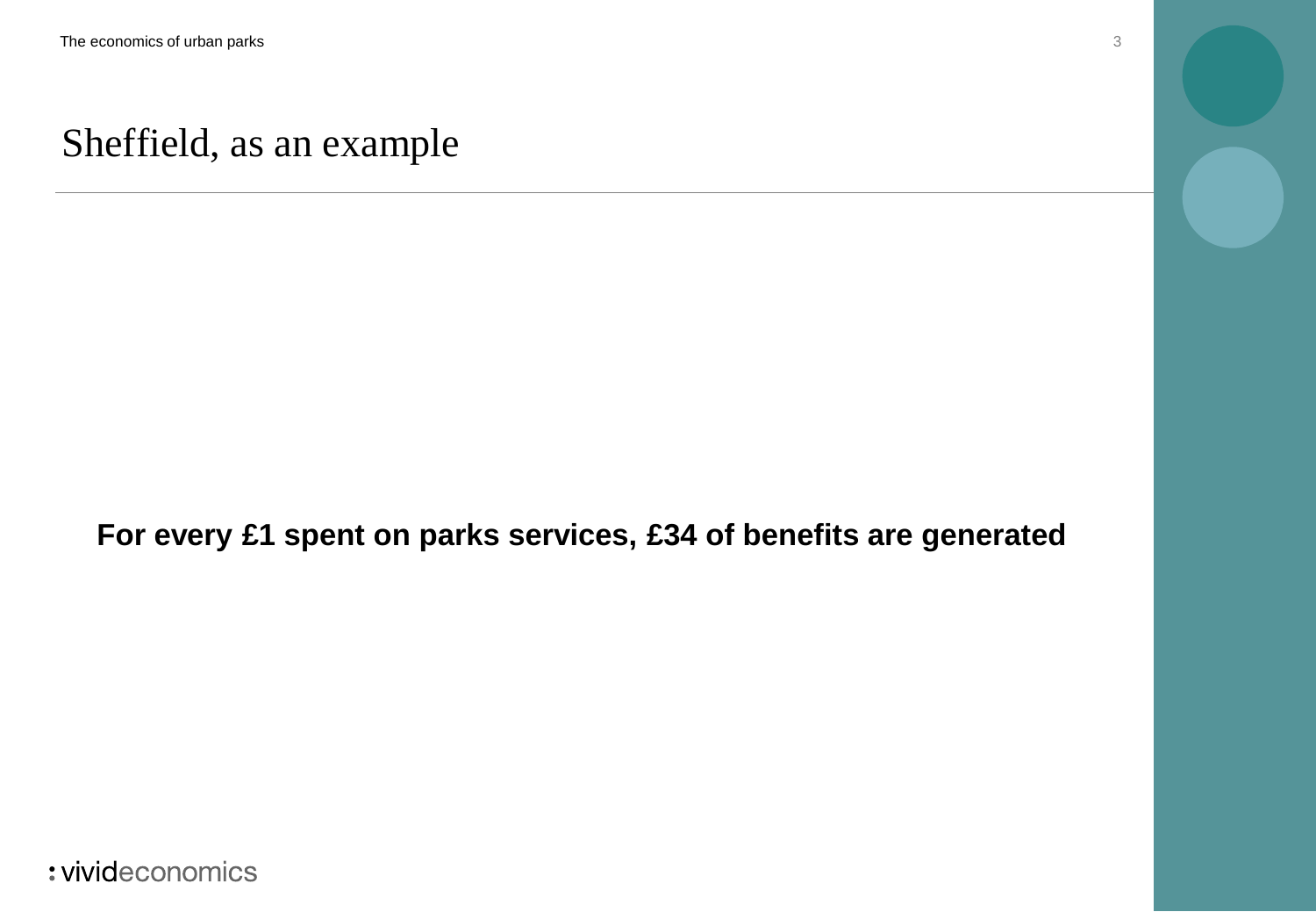### Sheffield, as an example

**For every £1 spent on parks services, £34 of benefits are generated**

: vivideconomics

3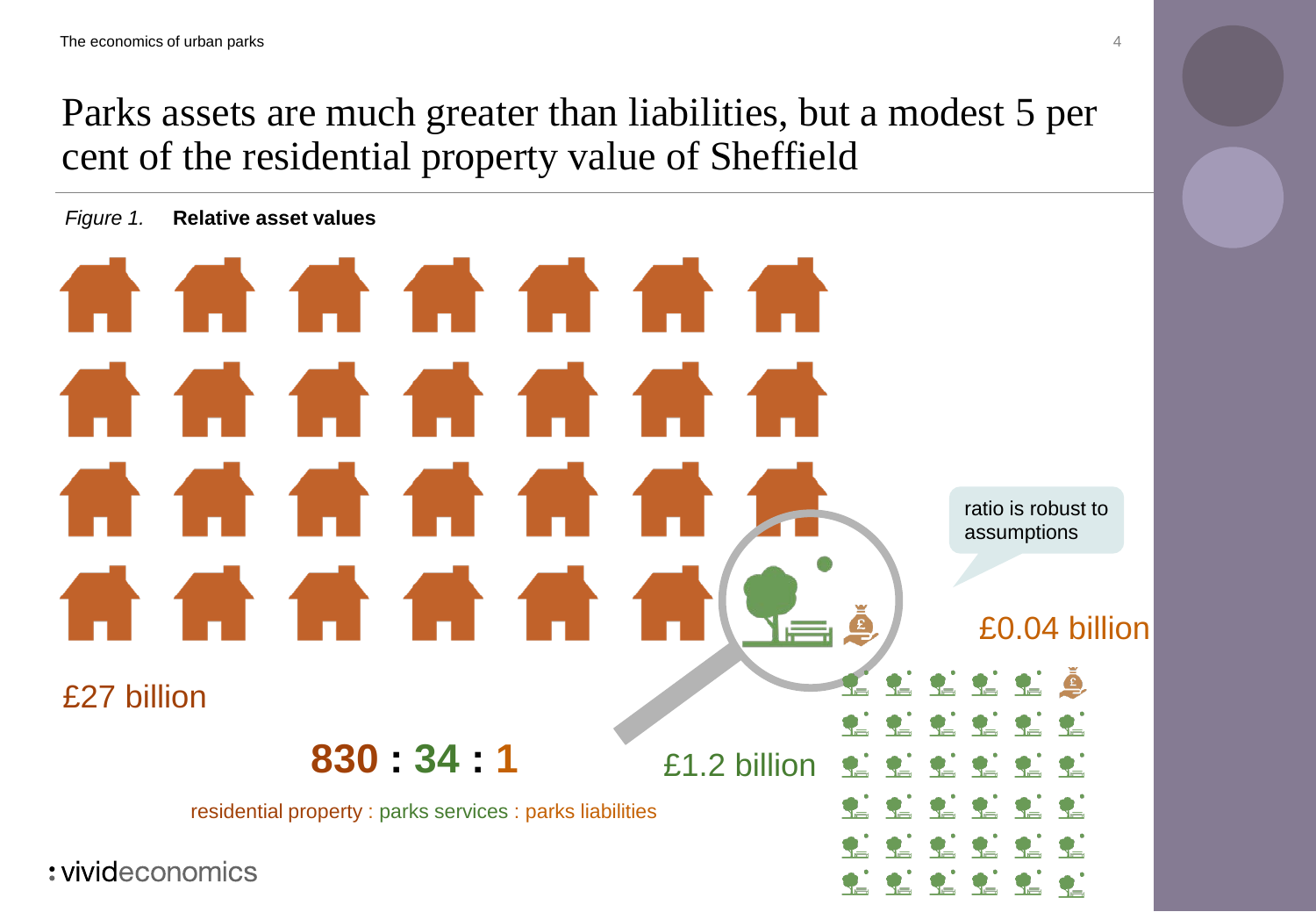Parks assets are much greater than liabilities, but a modest 5 per cent of the residential property value of Sheffield

*Figure 1.* **Relative asset values**

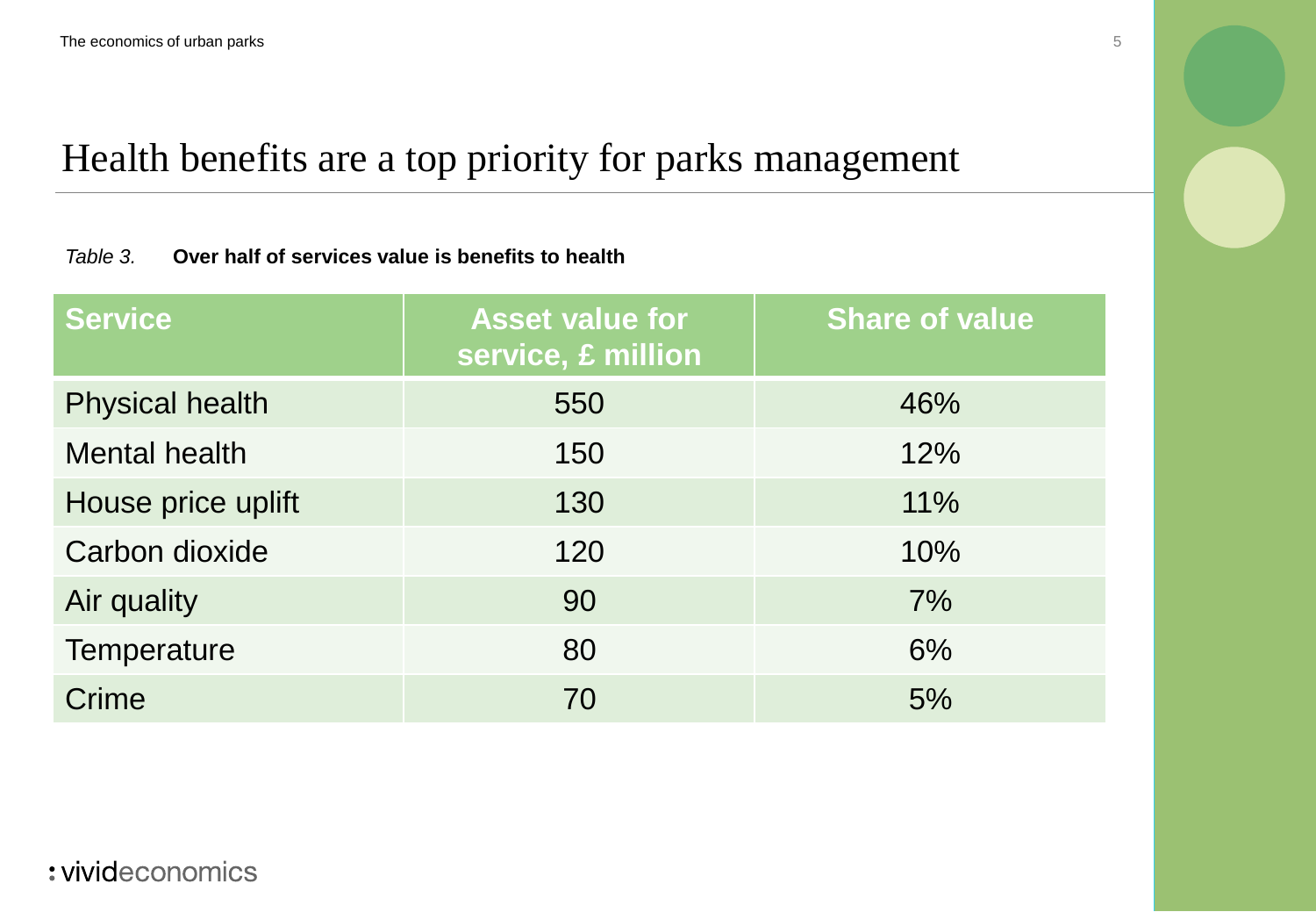## Health benefits are a top priority for parks management

#### *Table 3.* **Over half of services value is benefits to health**

| <b>Service</b>         | <b>Asset value for</b><br>service, £ million | <b>Share of value</b> |
|------------------------|----------------------------------------------|-----------------------|
| <b>Physical health</b> | 550                                          | 46%                   |
| <b>Mental health</b>   | 150                                          | 12%                   |
| House price uplift     | 130                                          | 11%                   |
| Carbon dioxide         | 120                                          | 10%                   |
| Air quality            | 90                                           | 7%                    |
| Temperature            | 80                                           | 6%                    |
| Crime                  | 70                                           | 5%                    |

5

### : vivideconomics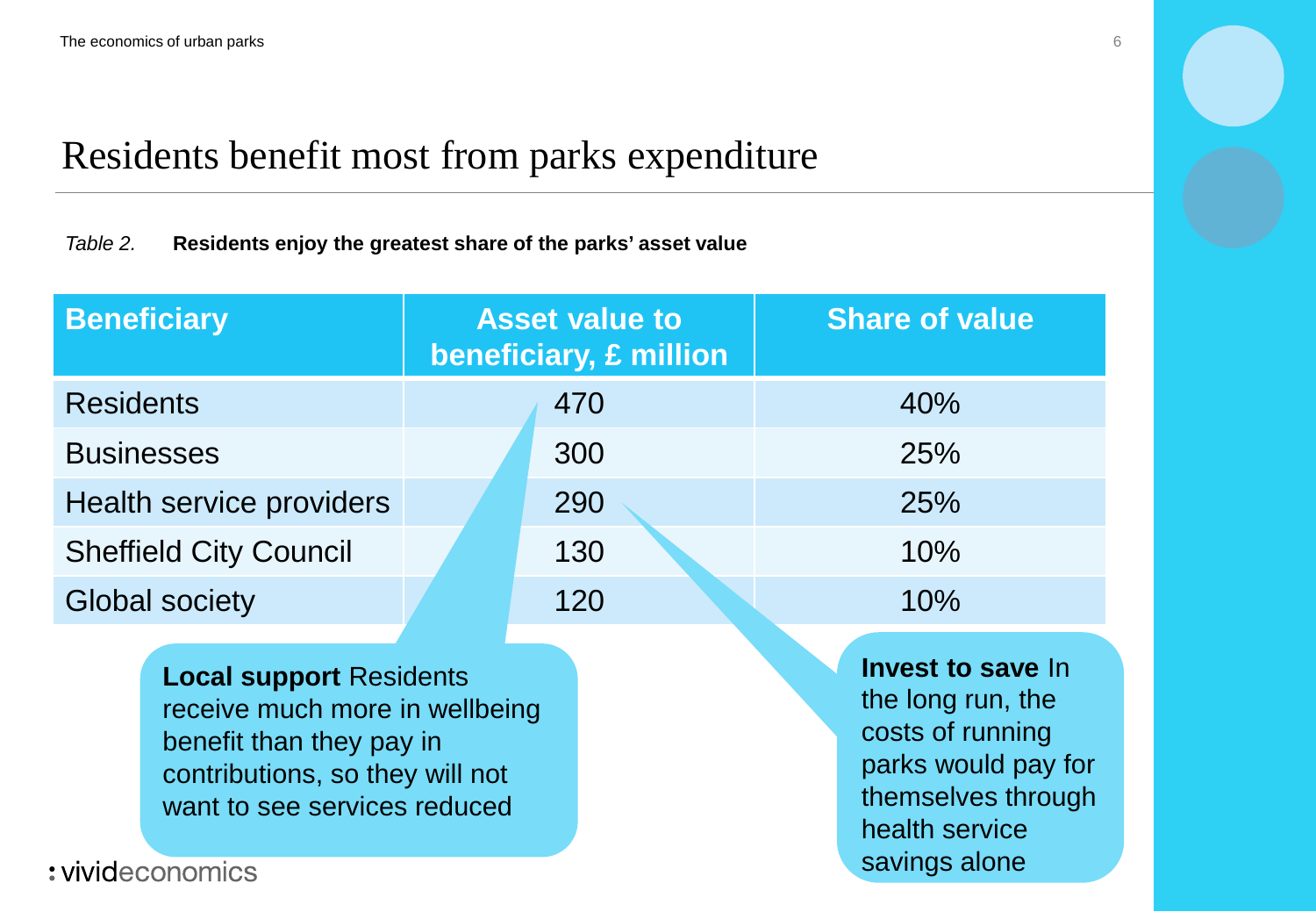## Residents benefit most from parks expenditure

#### *Table 2.* **Residents enjoy the greatest share of the parks' asset value**

| <b>Beneficiary</b>            | <b>Asset value to</b><br>beneficiary, £ million | <b>Share of value</b> |
|-------------------------------|-------------------------------------------------|-----------------------|
| <b>Residents</b>              | 470                                             | 40%                   |
| <b>Businesses</b>             | 300                                             | 25%                   |
| Health service providers      | 290                                             | 25%                   |
| <b>Sheffield City Council</b> | 130                                             | 10%                   |
| <b>Global society</b>         | 120                                             | 10%                   |

**Local support** Residents receive much more in wellbeing benefit than they pay in contributions, so they will not want to see services reduced

**Invest to save** In the long run, the costs of running parks would pay for themselves through health service savings alone

: vivideconomics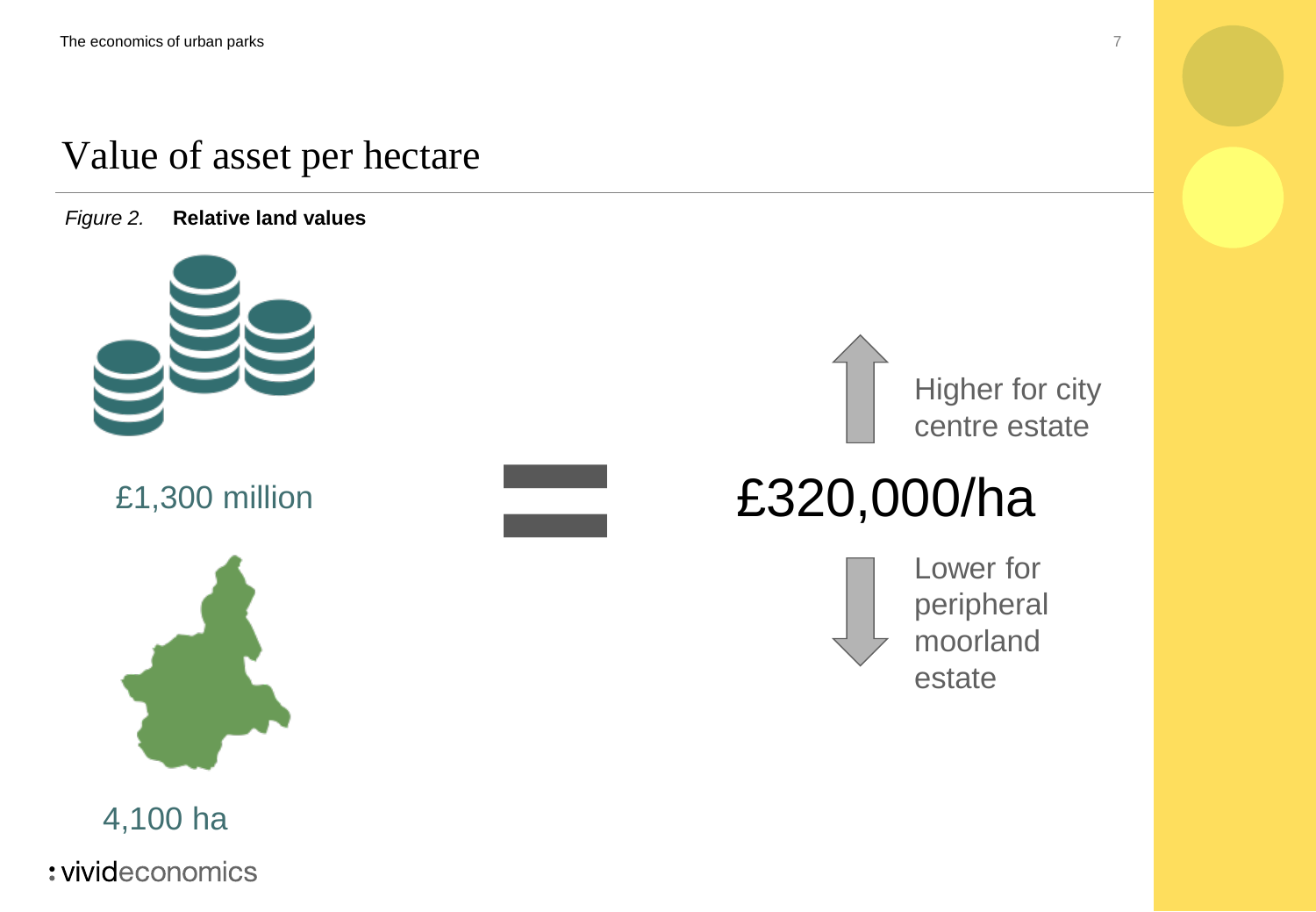### Value of asset per hectare

*Figure 2.* **Relative land values**





4,100 ha

: vivideconomics





# £1,300 million **£320,000/ha**

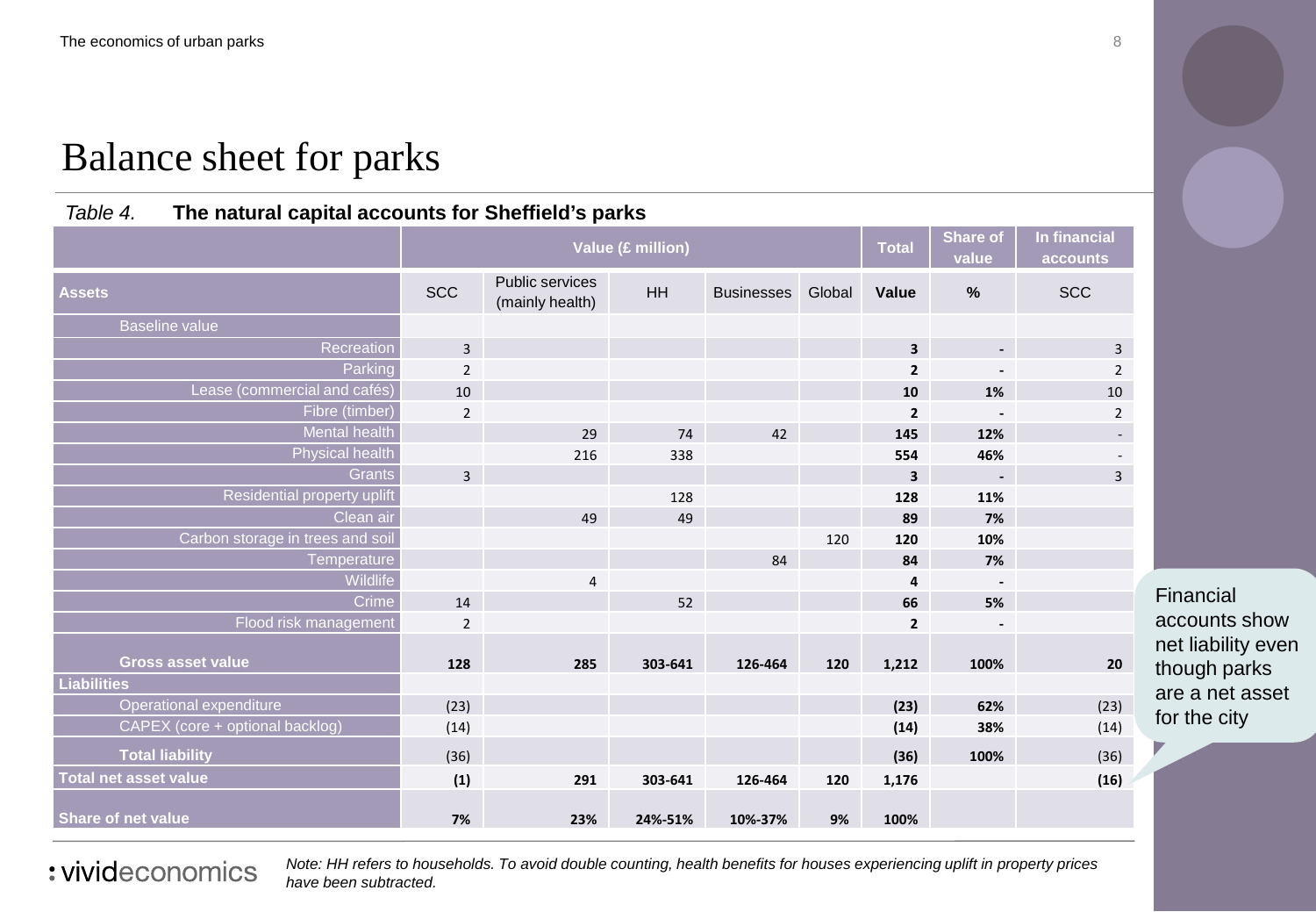### Balance sheet for parks

#### *Table 4.* **The natural capital accounts for Sheffield's parks**

|                                  | Value (£ million) |                                    |         |                   | <b>Total</b> | <b>Share of</b><br>value | In financial<br>accounts |                             |
|----------------------------------|-------------------|------------------------------------|---------|-------------------|--------------|--------------------------|--------------------------|-----------------------------|
| <b>Assets</b>                    | <b>SCC</b>        | Public services<br>(mainly health) | HH      | <b>Businesses</b> | Global       | Value                    | %                        | <b>SCC</b>                  |
| <b>Baseline value</b>            |                   |                                    |         |                   |              |                          |                          |                             |
| Recreation                       | $\overline{3}$    |                                    |         |                   |              | $\overline{\mathbf{3}}$  | $\blacksquare$           | $\mathsf{3}$                |
| Parking                          | $\overline{2}$    |                                    |         |                   |              | 2                        |                          | $\overline{2}$              |
| Lease (commercial and cafés)     | 10                |                                    |         |                   |              | 10                       | 1%                       | $10\,$                      |
| Fibre (timber)                   | $\overline{2}$    |                                    |         |                   |              | $\overline{2}$           |                          | $\overline{2}$              |
| Mental health                    |                   | 29                                 | 74      | 42                |              | 145                      | 12%                      | $\mathcal{L}_{\mathcal{A}}$ |
| Physical health                  |                   | 216                                | 338     |                   |              | 554                      | 46%                      | $\sim$                      |
| <b>Grants</b>                    | $\overline{3}$    |                                    |         |                   |              | 3                        | $\overline{\phantom{a}}$ | $\overline{3}$              |
| Residential property uplift      |                   |                                    | 128     |                   |              | 128                      | 11%                      |                             |
| Clean air                        |                   | 49                                 | 49      |                   |              | 89                       | 7%                       |                             |
| Carbon storage in trees and soil |                   |                                    |         |                   | 120          | 120                      | 10%                      |                             |
| Temperature                      |                   |                                    |         | 84                |              | 84                       | 7%                       |                             |
| Wildlife                         |                   | $\overline{4}$                     |         |                   |              | 4                        | $\overline{\phantom{a}}$ |                             |
| <b>Crime</b>                     | 14                |                                    | 52      |                   |              | 66                       | 5%                       |                             |
| Flood risk management            | $\overline{2}$    |                                    |         |                   |              | $\overline{2}$           |                          |                             |
| <b>Gross asset value</b>         | 128               | 285                                | 303-641 | 126-464           | 120          | 1,212                    | 100%                     | 20                          |
| <b>Liabilities</b>               |                   |                                    |         |                   |              |                          |                          |                             |
| Operational expenditure          | (23)              |                                    |         |                   |              | (23)                     | 62%                      | (23)                        |
| CAPEX (core + optional backlog)  | (14)              |                                    |         |                   |              | (14)                     | 38%                      | (14)                        |
| <b>Total liability</b>           | (36)              |                                    |         |                   |              | (36)                     | 100%                     | (36)                        |
| <b>Total net asset value</b>     | (1)               | 291                                | 303-641 | 126-464           | 120          | 1,176                    |                          | (16)                        |
| Share of net value               | 7%                | 23%                                | 24%-51% | 10%-37%           | 9%           | 100%                     |                          |                             |

Financial accounts show net liability even though parks are a net asset for the city

: vivideconomics

*Note: HH refers to households. To avoid double counting, health benefits for houses experiencing uplift in property prices have been subtracted.*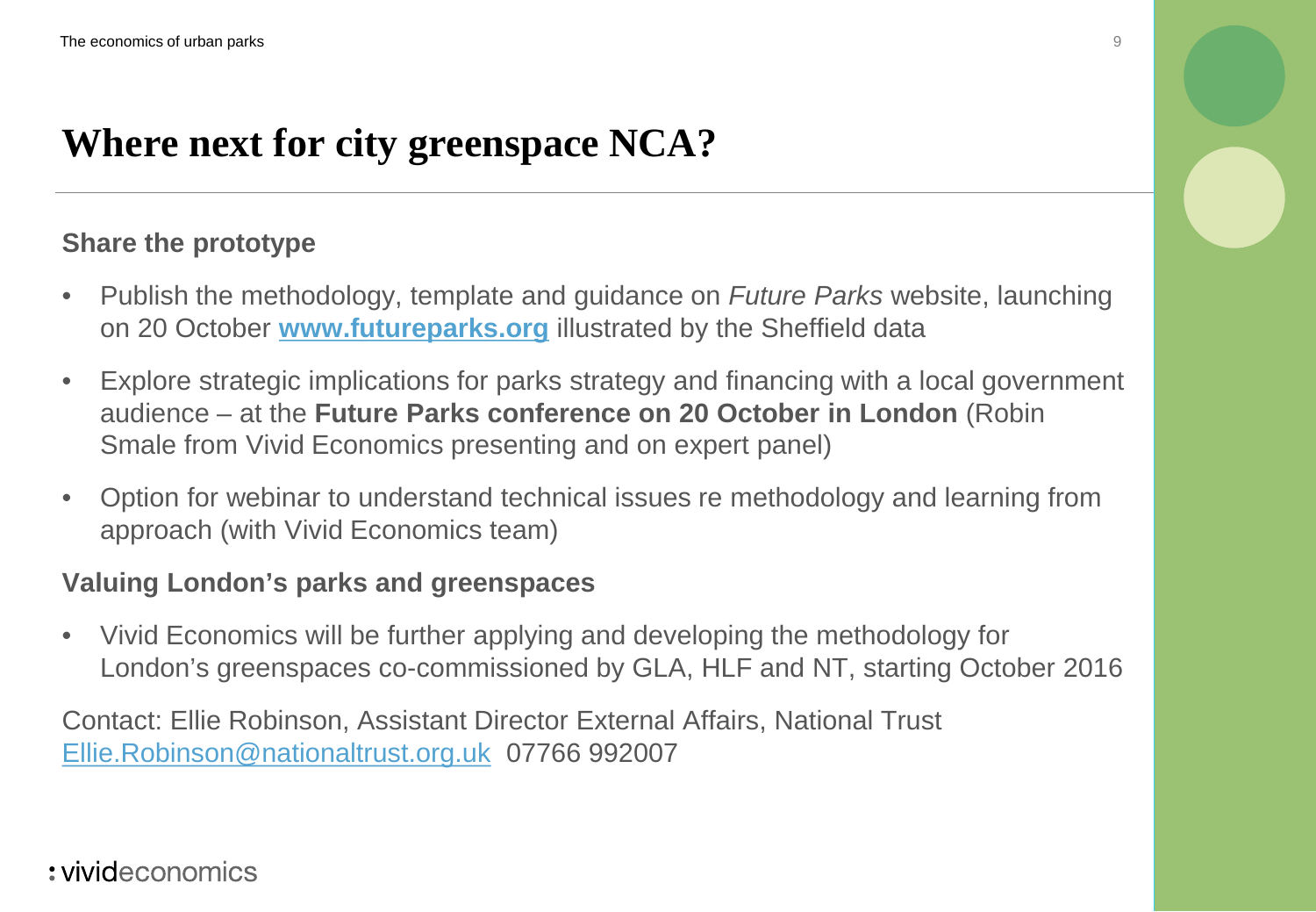## **Where next for city greenspace NCA?**

#### **Share the prototype**

- Publish the methodology, template and guidance on *Future Parks* website, launching on 20 October **[www.futureparks.org](http://www.futureparks.org/)** illustrated by the Sheffield data
- Explore strategic implications for parks strategy and financing with a local government audience – at the **Future Parks conference on 20 October in London** (Robin Smale from Vivid Economics presenting and on expert panel)
- Option for webinar to understand technical issues re methodology and learning from approach (with Vivid Economics team)

#### **Valuing London's parks and greenspaces**

• Vivid Economics will be further applying and developing the methodology for London's greenspaces co-commissioned by GLA, HLF and NT, starting October 2016

Contact: Ellie Robinson, Assistant Director External Affairs, National Trust [Ellie.Robinson@nationaltrust.org.uk](mailto:Ellie.Robinson@nationaltrust.org.uk) 07766 992007

### : vivideconomics

9